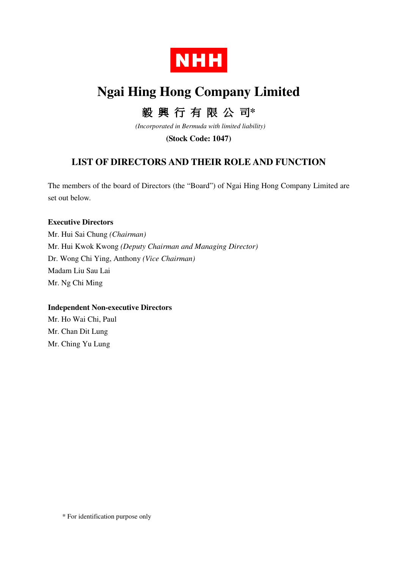

# **Ngai Hing Hong Company Limited**

# 毅 興 行 有 限 公 司**\***

 *(Incorporated in Bermuda with limited liability)* 

**(Stock Code: 1047)** 

## **LIST OF DIRECTORS AND THEIR ROLE AND FUNCTION**

The members of the board of Directors (the "Board") of Ngai Hing Hong Company Limited are set out below.

#### **Executive Directors**

Mr. Hui Sai Chung *(Chairman)*  Mr. Hui Kwok Kwong *(Deputy Chairman and Managing Director)* Dr. Wong Chi Ying, Anthony *(Vice Chairman)* Madam Liu Sau Lai Mr. Ng Chi Ming

### **Independent Non-executive Directors**

Mr. Ho Wai Chi, Paul Mr. Chan Dit Lung Mr. Ching Yu Lung

\* For identification purpose only